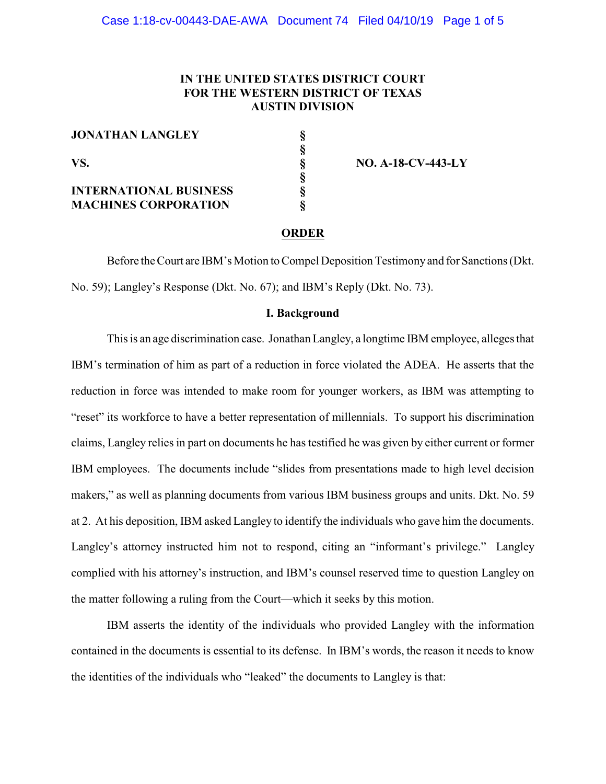# **IN THE UNITED STATES DISTRICT COURT FOR THE WESTERN DISTRICT OF TEXAS AUSTIN DIVISION**

**§**

**§**

**JONATHAN LANGLEY §**

**INTERNATIONAL BUSINESS MACHINES CORPORATION §**

**VS. § NO. A-18-CV-443-LY**

# **ORDER**

Before the Court are IBM's Motion to Compel Deposition Testimonyand for Sanctions (Dkt. No. 59); Langley's Response (Dkt. No. 67); and IBM's Reply (Dkt. No. 73).

# **I. Background**

This is an age discrimination case. Jonathan Langley, a longtime IBM employee, alleges that IBM's termination of him as part of a reduction in force violated the ADEA. He asserts that the reduction in force was intended to make room for younger workers, as IBM was attempting to "reset" its workforce to have a better representation of millennials. To support his discrimination claims, Langley relies in part on documents he has testified he was given by either current or former IBM employees. The documents include "slides from presentations made to high level decision makers," as well as planning documents from various IBM business groups and units. Dkt. No. 59 at 2. At his deposition, IBM asked Langley to identify the individuals who gave him the documents. Langley's attorney instructed him not to respond, citing an "informant's privilege." Langley complied with his attorney's instruction, and IBM's counsel reserved time to question Langley on the matter following a ruling from the Court—which it seeks by this motion.

IBM asserts the identity of the individuals who provided Langley with the information contained in the documents is essential to its defense. In IBM's words, the reason it needs to know the identities of the individuals who "leaked" the documents to Langley is that: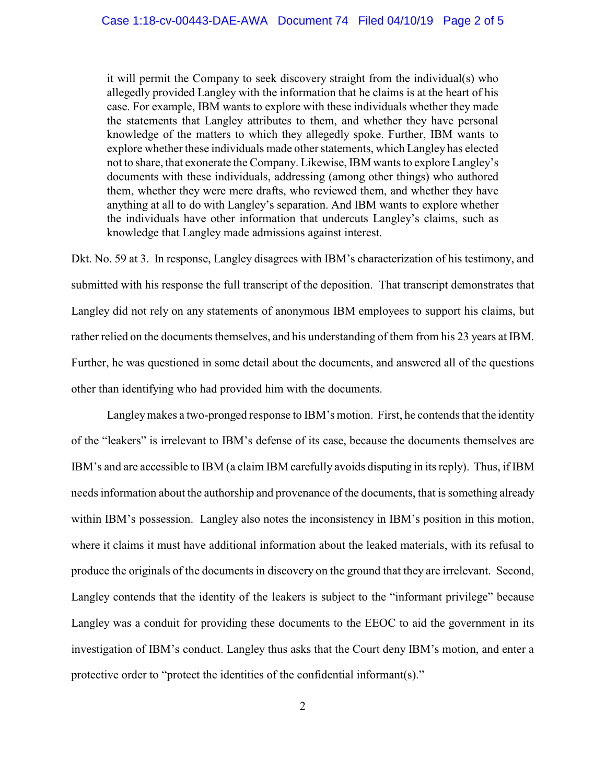it will permit the Company to seek discovery straight from the individual(s) who allegedly provided Langley with the information that he claims is at the heart of his case. For example, IBM wants to explore with these individuals whether they made the statements that Langley attributes to them, and whether they have personal knowledge of the matters to which they allegedly spoke. Further, IBM wants to explore whether these individuals made other statements, which Langley has elected not to share, that exonerate the Company. Likewise, IBM wants to explore Langley's documents with these individuals, addressing (among other things) who authored them, whether they were mere drafts, who reviewed them, and whether they have anything at all to do with Langley's separation. And IBM wants to explore whether the individuals have other information that undercuts Langley's claims, such as knowledge that Langley made admissions against interest.

Dkt. No. 59 at 3. In response, Langley disagrees with IBM's characterization of his testimony, and submitted with his response the full transcript of the deposition. That transcript demonstrates that Langley did not rely on any statements of anonymous IBM employees to support his claims, but rather relied on the documents themselves, and his understanding of them from his 23 years at IBM. Further, he was questioned in some detail about the documents, and answered all of the questions other than identifying who had provided him with the documents.

Langleymakes a two-pronged response to IBM's motion. First, he contends that the identity of the "leakers" is irrelevant to IBM's defense of its case, because the documents themselves are IBM's and are accessible to IBM (a claim IBM carefully avoids disputing in its reply). Thus, if IBM needs information about the authorship and provenance of the documents, that is something already within IBM's possession. Langley also notes the inconsistency in IBM's position in this motion, where it claims it must have additional information about the leaked materials, with its refusal to produce the originals of the documents in discovery on the ground that they are irrelevant. Second, Langley contends that the identity of the leakers is subject to the "informant privilege" because Langley was a conduit for providing these documents to the EEOC to aid the government in its investigation of IBM's conduct. Langley thus asks that the Court deny IBM's motion, and enter a protective order to "protect the identities of the confidential informant(s)."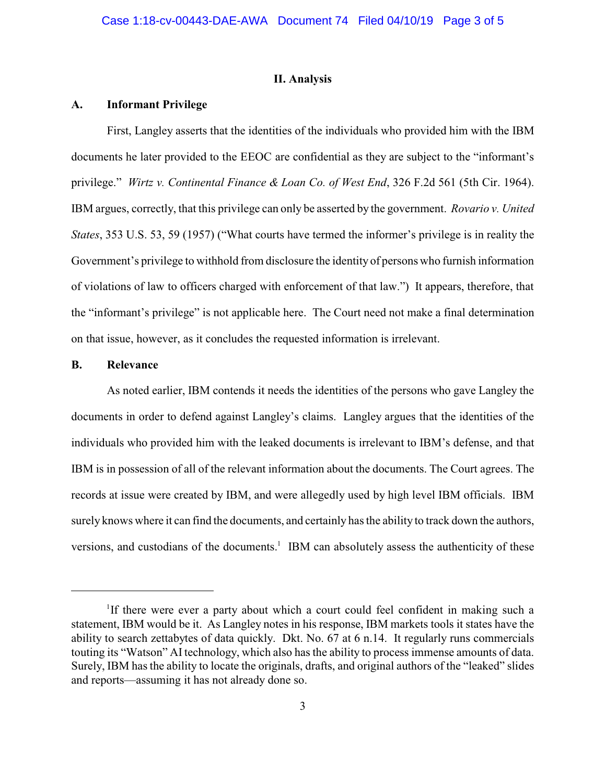# **II. Analysis**

#### **A. Informant Privilege**

First, Langley asserts that the identities of the individuals who provided him with the IBM documents he later provided to the EEOC are confidential as they are subject to the "informant's privilege." *Wirtz v. Continental Finance & Loan Co. of West End*, 326 F.2d 561 (5th Cir. 1964). IBM argues, correctly, that this privilege can only be asserted by the government. *Rovario v. United States*, 353 U.S. 53, 59 (1957) ("What courts have termed the informer's privilege is in reality the Government's privilege to withhold from disclosure the identity of persons who furnish information of violations of law to officers charged with enforcement of that law.") It appears, therefore, that the "informant's privilege" is not applicable here. The Court need not make a final determination on that issue, however, as it concludes the requested information is irrelevant.

# **B. Relevance**

As noted earlier, IBM contends it needs the identities of the persons who gave Langley the documents in order to defend against Langley's claims. Langley argues that the identities of the individuals who provided him with the leaked documents is irrelevant to IBM's defense, and that IBM is in possession of all of the relevant information about the documents. The Court agrees. The records at issue were created by IBM, and were allegedly used by high level IBM officials. IBM surely knows where it can find the documents, and certainly has the ability to track down the authors, versions, and custodians of the documents.<sup>1</sup> IBM can absolutely assess the authenticity of these

<sup>&</sup>lt;sup>1</sup>If there were ever a party about which a court could feel confident in making such a statement, IBM would be it. As Langley notes in his response, IBM markets tools it states have the ability to search zettabytes of data quickly. Dkt. No. 67 at 6 n.14. It regularly runs commercials touting its "Watson" AItechnology, which also has the ability to process immense amounts of data. Surely, IBM has the ability to locate the originals, drafts, and original authors of the "leaked" slides and reports—assuming it has not already done so.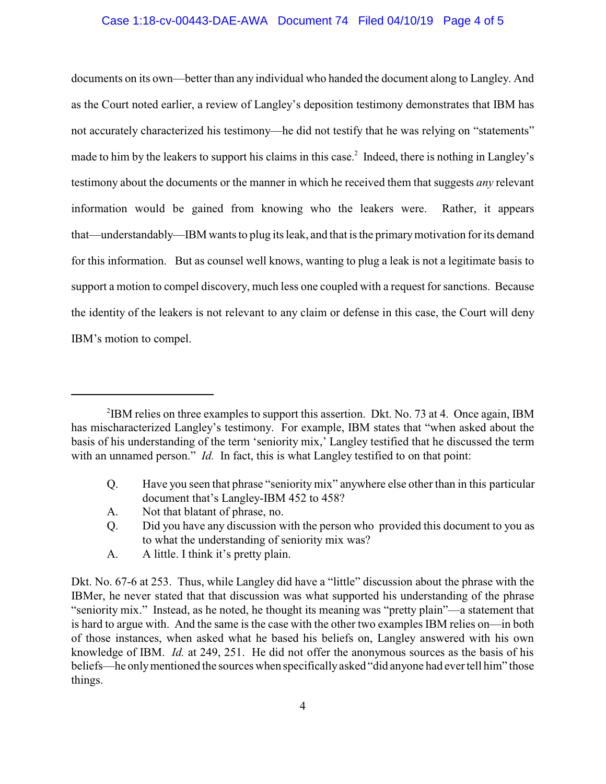#### Case 1:18-cv-00443-DAE-AWA Document 74 Filed 04/10/19 Page 4 of 5

documents on its own—better than any individual who handed the document along to Langley. And as the Court noted earlier, a review of Langley's deposition testimony demonstrates that IBM has not accurately characterized his testimony—he did not testify that he was relying on "statements" made to him by the leakers to support his claims in this case.<sup>2</sup> Indeed, there is nothing in Langley's testimony about the documents or the manner in which he received them that suggests *any* relevant information would be gained from knowing who the leakers were. Rather, it appears that—understandably—IBM wants to plug its leak, and that is the primarymotivation for its demand for this information. But as counsel well knows, wanting to plug a leak is not a legitimate basis to support a motion to compel discovery, much less one coupled with a request for sanctions. Because the identity of the leakers is not relevant to any claim or defense in this case, the Court will deny IBM's motion to compel.

- Q. Have you seen that phrase "seniority mix" anywhere else other than in this particular document that's Langley-IBM 452 to 458?
- A. Not that blatant of phrase, no.
- Q. Did you have any discussion with the person who provided this document to you as to what the understanding of seniority mix was?
- A. A little. I think it's pretty plain.

<sup>&</sup>lt;sup>2</sup>IBM relies on three examples to support this assertion. Dkt. No. 73 at 4. Once again, IBM has mischaracterized Langley's testimony. For example, IBM states that "when asked about the basis of his understanding of the term 'seniority mix,' Langley testified that he discussed the term with an unnamed person." *Id.* In fact, this is what Langley testified to on that point:

Dkt. No. 67-6 at 253. Thus, while Langley did have a "little" discussion about the phrase with the IBMer, he never stated that that discussion was what supported his understanding of the phrase "seniority mix." Instead, as he noted, he thought its meaning was "pretty plain"—a statement that is hard to argue with. And the same is the case with the other two examples IBM relies on—in both of those instances, when asked what he based his beliefs on, Langley answered with his own knowledge of IBM. *Id.* at 249, 251. He did not offer the anonymous sources as the basis of his beliefs—he onlymentioned the sources when specificallyasked "did anyone had evertell him" those things.